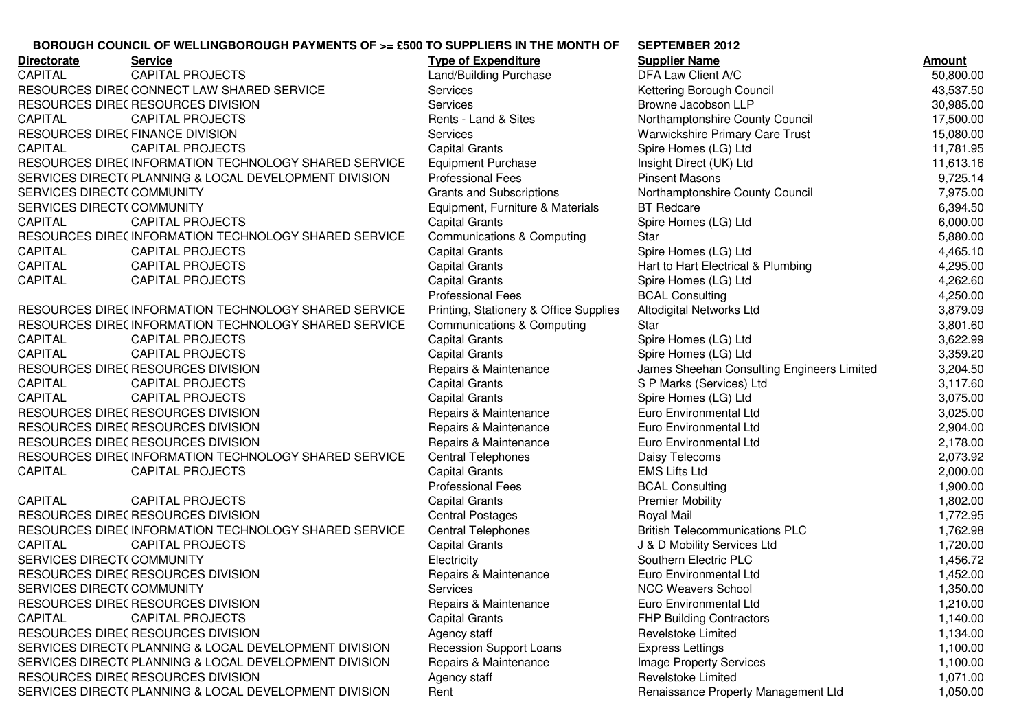## **SEPTEMBER 2012BOROUGH COUNCIL OF WELLINGBOROUGH PAYMENTS OF >= £500 TO SUPPLIERS IN THE MONTH OF**

| <b>Directorate</b>              | <b>Service</b>                                        | <b>Type of Expenditure</b>             | <b>Supplier Name</b>                       | <b>Amount</b> |
|---------------------------------|-------------------------------------------------------|----------------------------------------|--------------------------------------------|---------------|
| <b>CAPITAL</b>                  | <b>CAPITAL PROJECTS</b>                               | Land/Building Purchase                 | DFA Law Client A/C                         | 50,800.00     |
|                                 | RESOURCES DIRECCONNECT LAW SHARED SERVICE             | Services                               | Kettering Borough Council                  | 43,537.50     |
|                                 | RESOURCES DIREC RESOURCES DIVISION                    | Services                               | Browne Jacobson LLP                        | 30,985.00     |
| <b>CAPITAL</b>                  | <b>CAPITAL PROJECTS</b>                               | Rents - Land & Sites                   | Northamptonshire County Council            | 17,500.00     |
| RESOURCES DIRECFINANCE DIVISION |                                                       | Services                               | Warwickshire Primary Care Trust            | 15,080.00     |
| <b>CAPITAL</b>                  | <b>CAPITAL PROJECTS</b>                               | <b>Capital Grants</b>                  | Spire Homes (LG) Ltd                       | 11,781.95     |
|                                 | RESOURCES DIREC INFORMATION TECHNOLOGY SHARED SERVICE | <b>Equipment Purchase</b>              | Insight Direct (UK) Ltd                    | 11,613.16     |
|                                 | SERVICES DIRECT(PLANNING & LOCAL DEVELOPMENT DIVISION | <b>Professional Fees</b>               | <b>Pinsent Masons</b>                      | 9,725.14      |
| SERVICES DIRECT(COMMUNITY       |                                                       | <b>Grants and Subscriptions</b>        | Northamptonshire County Council            | 7,975.00      |
| SERVICES DIRECT(COMMUNITY       |                                                       | Equipment, Furniture & Materials       | <b>BT</b> Redcare                          | 6,394.50      |
| <b>CAPITAL</b>                  | <b>CAPITAL PROJECTS</b>                               | <b>Capital Grants</b>                  | Spire Homes (LG) Ltd                       | 6,000.00      |
|                                 | RESOURCES DIREC INFORMATION TECHNOLOGY SHARED SERVICE | <b>Communications &amp; Computing</b>  | Star                                       | 5,880.00      |
| CAPITAL                         | <b>CAPITAL PROJECTS</b>                               | <b>Capital Grants</b>                  | Spire Homes (LG) Ltd                       | 4,465.10      |
| CAPITAL                         | <b>CAPITAL PROJECTS</b>                               | <b>Capital Grants</b>                  | Hart to Hart Electrical & Plumbing         | 4,295.00      |
| CAPITAL                         | <b>CAPITAL PROJECTS</b>                               | <b>Capital Grants</b>                  | Spire Homes (LG) Ltd                       | 4,262.60      |
|                                 |                                                       | <b>Professional Fees</b>               | <b>BCAL Consulting</b>                     | 4,250.00      |
|                                 | RESOURCES DIREC INFORMATION TECHNOLOGY SHARED SERVICE | Printing, Stationery & Office Supplies | Altodigital Networks Ltd                   | 3,879.09      |
|                                 | RESOURCES DIREC INFORMATION TECHNOLOGY SHARED SERVICE | <b>Communications &amp; Computing</b>  | Star                                       | 3,801.60      |
| CAPITAL                         | <b>CAPITAL PROJECTS</b>                               | <b>Capital Grants</b>                  | Spire Homes (LG) Ltd                       | 3,622.99      |
| CAPITAL                         | <b>CAPITAL PROJECTS</b>                               | <b>Capital Grants</b>                  | Spire Homes (LG) Ltd                       | 3,359.20      |
|                                 | RESOURCES DIREC RESOURCES DIVISION                    | Repairs & Maintenance                  | James Sheehan Consulting Engineers Limited | 3,204.50      |
| CAPITAL                         | <b>CAPITAL PROJECTS</b>                               | <b>Capital Grants</b>                  | S P Marks (Services) Ltd                   | 3,117.60      |
| CAPITAL                         | <b>CAPITAL PROJECTS</b>                               | <b>Capital Grants</b>                  | Spire Homes (LG) Ltd                       | 3,075.00      |
|                                 | RESOURCES DIREC RESOURCES DIVISION                    | Repairs & Maintenance                  | Euro Environmental Ltd                     | 3,025.00      |
|                                 | RESOURCES DIREC RESOURCES DIVISION                    | Repairs & Maintenance                  | Euro Environmental Ltd                     | 2,904.00      |
|                                 | RESOURCES DIREC RESOURCES DIVISION                    | Repairs & Maintenance                  | Euro Environmental Ltd                     | 2,178.00      |
|                                 | RESOURCES DIREC INFORMATION TECHNOLOGY SHARED SERVICE | <b>Central Telephones</b>              | Daisy Telecoms                             | 2,073.92      |
| <b>CAPITAL</b>                  | <b>CAPITAL PROJECTS</b>                               | <b>Capital Grants</b>                  | <b>EMS Lifts Ltd</b>                       | 2,000.00      |
|                                 |                                                       | <b>Professional Fees</b>               | <b>BCAL Consulting</b>                     | 1,900.00      |
| <b>CAPITAL</b>                  | <b>CAPITAL PROJECTS</b>                               | <b>Capital Grants</b>                  | <b>Premier Mobility</b>                    | 1,802.00      |
|                                 | RESOURCES DIREC RESOURCES DIVISION                    | <b>Central Postages</b>                | Royal Mail                                 | 1,772.95      |
|                                 | RESOURCES DIREC INFORMATION TECHNOLOGY SHARED SERVICE | <b>Central Telephones</b>              | <b>British Telecommunications PLC</b>      | 1,762.98      |
| CAPITAL                         | <b>CAPITAL PROJECTS</b>                               | <b>Capital Grants</b>                  | J & D Mobility Services Ltd                | 1,720.00      |
| SERVICES DIRECT(COMMUNITY       |                                                       | Electricity                            | Southern Electric PLC                      | 1,456.72      |
|                                 | RESOURCES DIREC RESOURCES DIVISION                    | Repairs & Maintenance                  | Euro Environmental Ltd                     | 1,452.00      |
| SERVICES DIRECT(COMMUNITY       |                                                       | Services                               | <b>NCC Weavers School</b>                  | 1,350.00      |
|                                 | RESOURCES DIREC RESOURCES DIVISION                    | Repairs & Maintenance                  | Euro Environmental Ltd                     | 1,210.00      |
| <b>CAPITAL</b>                  | <b>CAPITAL PROJECTS</b>                               | <b>Capital Grants</b>                  | <b>FHP Building Contractors</b>            | 1,140.00      |
|                                 | RESOURCES DIREC RESOURCES DIVISION                    | Agency staff                           | <b>Revelstoke Limited</b>                  | 1,134.00      |
|                                 | SERVICES DIRECT(PLANNING & LOCAL DEVELOPMENT DIVISION | <b>Recession Support Loans</b>         | <b>Express Lettings</b>                    | 1,100.00      |
|                                 | SERVICES DIRECT(PLANNING & LOCAL DEVELOPMENT DIVISION | Repairs & Maintenance                  | Image Property Services                    | 1,100.00      |
|                                 | RESOURCES DIREC RESOURCES DIVISION                    | Agency staff                           | <b>Revelstoke Limited</b>                  | 1,071.00      |
|                                 | SERVICES DIRECT(PLANNING & LOCAL DEVELOPMENT DIVISION | Rent                                   | Renaissance Property Management Ltd        | 1,050.00      |
|                                 |                                                       |                                        |                                            |               |